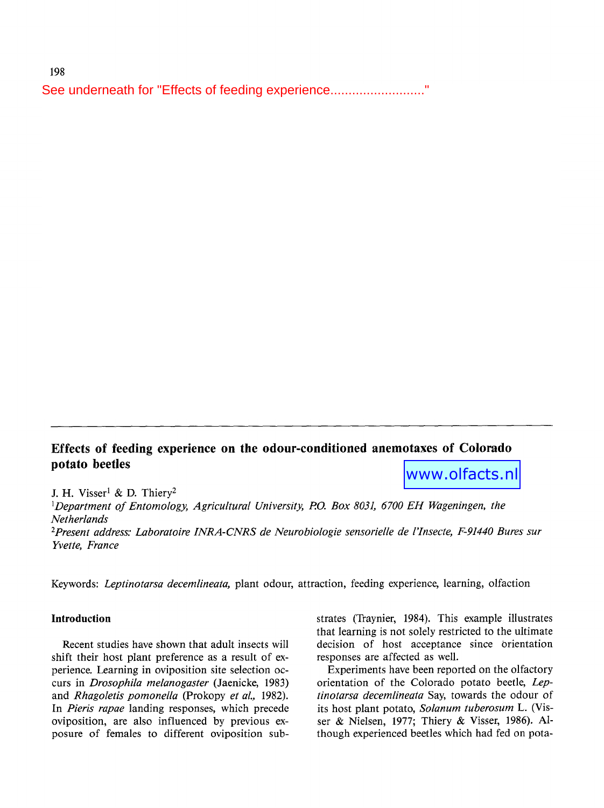See underneath for "Effects of feeding experience........................."<br>- $\mathbf{u}$  , we then the project. We thank  $\mathbf{u}$ 

# **Effects of feeding experience on the odour-conditioned anemotaxes of Colorado potato beetles**  www.olfacts.nl

J. H. Visser<sup>1</sup> & D. Thiery<sup>2</sup>

*1Department of Entomology, Agricultural University, P.O. Box 8031, 6700 EH Wageningen, the Netherlands* 

*2Present address." Laboratoire INRA-CNRS de Neurobiologie sensorielle de l'Insecte, F-91440 Bures sur Yvette, France* 

Keywords: *Leptinotarsa decemlineata,* plant odour, attraction, feeding experience, learning, olfaction

## **Introduction**

Recent studies have shown that adult insects will shift their host plant preference as a result of experience. Learning in oviposition site selection occurs in *Drosophila melanogaster* (Jaenicke, 1983) and *Rhagoletis pomonella* (Prokopy *et al.,* 1982). In *Pieris rapae* landing responses, which precede oviposition, are also influenced by previous exposure of females to different oviposition **sub-** strates (Traynier, 1984). This example illustrates that learning is not solely restricted to the ultimate decision of host acceptance since orientation responses are affected as well.

Experiments have been reported on the olfactory orientation of the Colorado potato beetle, *Leptinotarsa decemlineata* Say, towards the odour of its host plant potato, *Solanum tuberosum* L. (Visser & Nielsen, 1977; Thiery & Visser, 1986). Although experienced beetles which had fed on pota-

198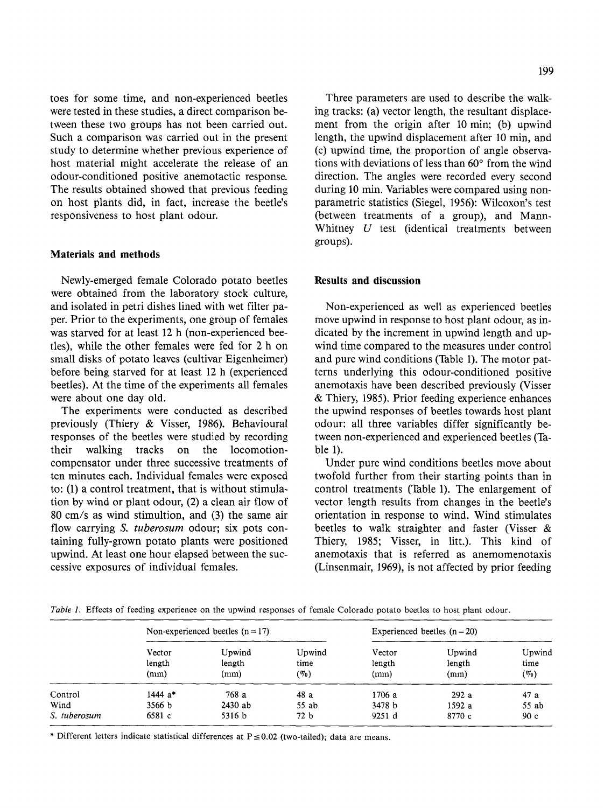toes for some time, and non-experienced beetles were tested in these studies, a direct comparison between these two groups has not been carried out. Such a comparison was carried out in the present study to determine whether previous experience of host material might accelerate the release of an odour-conditioned positive anemotactic response. The results obtained showed that previous feeding on host plants did, in fact, increase the beetle's responsiveness to host plant odour.

## **Materials and methods**

Newly-emerged female Colorado potato beetles were obtained from the laboratory stock culture, and isolated in petri dishes lined with wet filter paper. Prior to the experiments, one group of females was starved for at least 12 h (non-experienced beeties), while the other females were fed for 2 h on small disks of potato leaves (cultivar Eigenheimer) before being starved for at least 12 h (experienced beetles). At the time of the experiments all females were about one day old.

The experiments were conducted as described previously (Thiery & Visser, 1986). Behavioural responses of the beetles were studied by recording their walking tracks on the locomotioncompensator under three successive treatments of ten minutes each. Individual females were exposed to: (1) a control treatment, that is without stimulation by wind or plant odour, (2) a clean air flow of 80 cm/s as wind stimultion, and (3) the same air flow carrying *S. tuberosum* odour; six pots containing fully-grown potato plants were positioned upwind. At least one hour elapsed between the successive exposures of individual females.

Three parameters are used to describe the walking tracks: (a) vector length, the resultant displacement from the origin after 10 min; (b) upwind length, the upwind displacement after 10 min, and (c) upwind time, the proportion of angle observations with deviations of less than  $60^\circ$  from the wind direction. The angles were recorded every second during 10 min. Variables were compared using nonparametric statistics (Siegel, 1956): Wilcoxon's test (between treatments of a group), and Mann-Whitney  $U$  test (identical treatments between groups).

## **Results and discussion**

Non-experienced as well as experienced beetles move upwind in response to host plant odour, as indicated by the increment in upwind length and upwind time compared to the measures under control and pure wind conditions (Table 1). The motor patterns underlying this odour-conditioned positive anemotaxis have been described previously (Visser & Thiery, 1985). Prior feeding experience enhances the upwind responses of beetles towards host plant odour: all three variables differ significantly between non-experienced and experienced beetles (Table 1).

Under pure wind conditions beetles move about twofold further from their starting points than in control treatments (Table 1). The enlargement of vector length results from changes in the beetle's orientation in response to wind. Wind stimulates beetles to walk straighter and faster (Visser & Thiery, 1985; Visser, in litt.). This kind of anemotaxis that is referred as anemomenotaxis (Linsenmair, 1969), is not affected by prior feeding

|              | Non-experienced beetles $(n = 17)$ |           |                 | Experienced beetles $(n=20)$ |        |         |
|--------------|------------------------------------|-----------|-----------------|------------------------------|--------|---------|
|              | Vector                             | Upwind    | Upwind          | Vector                       | Upwind | Upwind  |
|              | length                             | length    | time            | length                       | length | time    |
|              | (mm)                               | (mm)      | $(\%)$          | (mm)                         | (mm)   | $(\%0)$ |
| Control      | 1444 a*                            | 768 a     | 48 a            | 1706 a                       | 292a   | 47 a    |
| Wind         | 3566 b                             | $2430$ ab | 55 ab           | 3478 b                       | 1592a  | 55 ab   |
| S. tuberosum | 6581 c                             | 5316 b    | 72 <sub>b</sub> | 9251 d                       | 8770 с | 90c     |

*Table 1.* Effects of feeding experience on the upwind responses of female Colorado potato beetles to host plant odour.

\* Different letters indicate statistical differences at  $P \le 0.02$  (two-tailed); data are means.